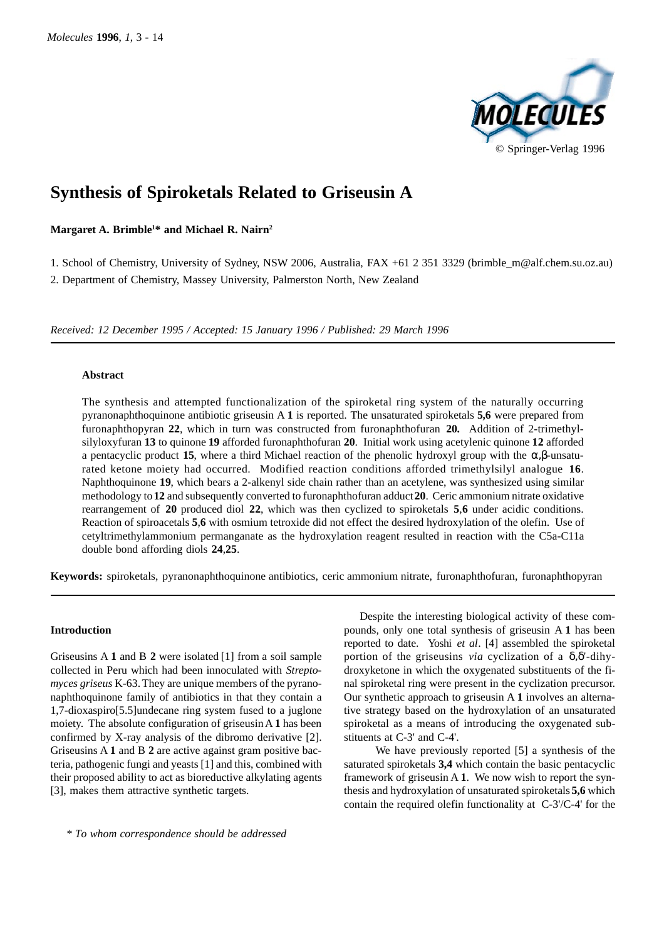

# **Synthesis of Spiroketals Related to Griseusin A**

**Margaret A. Brimble1 \* and Michael R. Nairn2**

1. School of Chemistry, University of Sydney, NSW 2006, Australia, FAX +61 2 351 3329 (brimble\_m@alf.chem.su.oz.au)

2. Department of Chemistry, Massey University, Palmerston North, New Zealand

*Received: 12 December 1995 / Accepted: 15 January 1996 / Published: 29 March 1996*

### **Abstract**

The synthesis and attempted functionalization of the spiroketal ring system of the naturally occurring pyranonaphthoquinone antibiotic griseusin A **1** is reported. The unsaturated spiroketals **5,6** were prepared from furonaphthopyran **22**, which in turn was constructed from furonaphthofuran **20.** Addition of 2-trimethylsilyloxyfuran **13** to quinone **19** afforded furonaphthofuran **20**. Initial work using acetylenic quinone **12** afforded a pentacyclic product **15**, where a third Michael reaction of the phenolic hydroxyl group with the α,β-unsaturated ketone moiety had occurred. Modified reaction conditions afforded trimethylsilyl analogue **16**. Naphthoquinone **19**, which bears a 2-alkenyl side chain rather than an acetylene, was synthesized using similar methodology to **12** and subsequently converted to furonaphthofuran adduct **20**. Ceric ammonium nitrate oxidative rearrangement of **20** produced diol **22**, which was then cyclized to spiroketals **5**,**6** under acidic conditions. Reaction of spiroacetals **5**,**6** with osmium tetroxide did not effect the desired hydroxylation of the olefin. Use of cetyltrimethylammonium permanganate as the hydroxylation reagent resulted in reaction with the C5a-C11a double bond affording diols **24**,**25**.

**Keywords:** spiroketals, pyranonaphthoquinone antibiotics, ceric ammonium nitrate, furonaphthofuran, furonaphthopyran

### **Introduction**

Griseusins A **1** and B **2** were isolated [1] from a soil sample collected in Peru which had been innoculated with *Streptomyces griseus* K-63. They are unique members of the pyranonaphthoquinone family of antibiotics in that they contain a 1,7-dioxaspiro[5.5]undecane ring system fused to a juglone moiety. The absolute configuration of griseusin A **1** has been confirmed by X-ray analysis of the dibromo derivative [2]. Griseusins A **1** and B **2** are active against gram positive bacteria, pathogenic fungi and yeasts [1] and this, combined with their proposed ability to act as bioreductive alkylating agents [3], makes them attractive synthetic targets.

Despite the interesting biological activity of these compounds, only one total synthesis of griseusin A **1** has been reported to date. Yoshi *et al*. [4] assembled the spiroketal portion of the griseusins *via* cyclization of a δ,δ'-dihydroxyketone in which the oxygenated substituents of the final spiroketal ring were present in the cyclization precursor. Our synthetic approach to griseusin A **1** involves an alternative strategy based on the hydroxylation of an unsaturated spiroketal as a means of introducing the oxygenated substituents at C-3' and C-4'.

We have previously reported [5] a synthesis of the saturated spiroketals **3,4** which contain the basic pentacyclic framework of griseusin A **1**. We now wish to report the synthesis and hydroxylation of unsaturated spiroketals **5,6** which contain the required olefin functionality at C-3'/C-4' for the

*\* To whom correspondence should be addressed*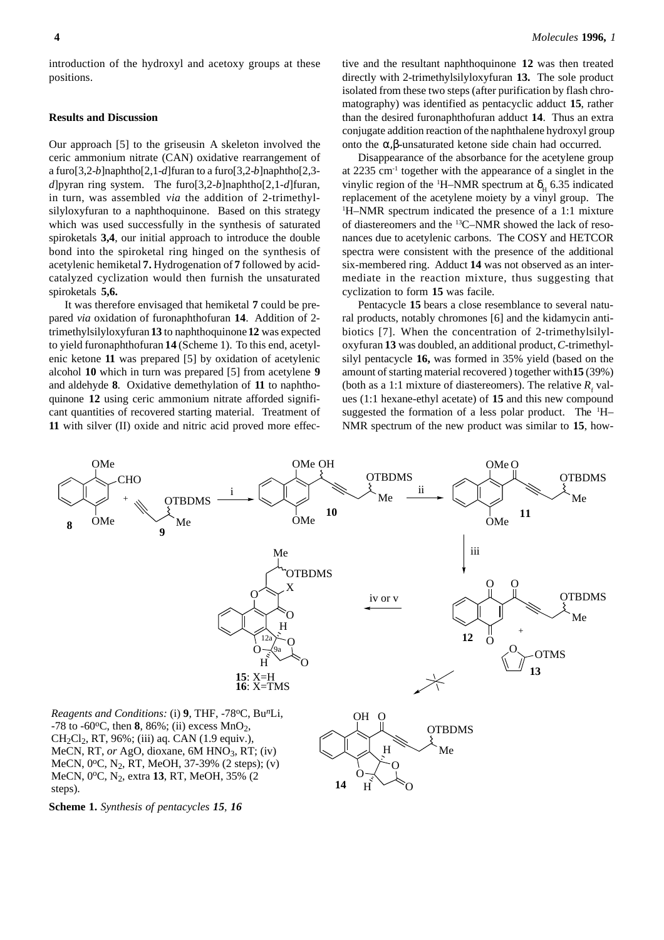#### **Results and Discussion**

Our approach [5] to the griseusin A skeleton involved the ceric ammonium nitrate (CAN) oxidative rearrangement of a furo[3,2-*b*]naphtho[2,1-*d*]furan to a furo[3,2-*b*]naphtho[2,3 *d*]pyran ring system. The furo[3,2-*b*]naphtho[2,1-*d*]furan, in turn, was assembled *via* the addition of 2-trimethylsilyloxyfuran to a naphthoquinone. Based on this strategy which was used successfully in the synthesis of saturated spiroketals **3,4**, our initial approach to introduce the double bond into the spiroketal ring hinged on the synthesis of acetylenic hemiketal **7.** Hydrogenation of **7** followed by acidcatalyzed cyclization would then furnish the unsaturated spiroketals **5,6.**

It was therefore envisaged that hemiketal **7** could be prepared *via* oxidation of furonaphthofuran **14**. Addition of 2 trimethylsilyloxyfuran **13** to naphthoquinone **12** was expected to yield furonaphthofuran **14** (Scheme 1). To this end, acetylenic ketone **11** was prepared [5] by oxidation of acetylenic alcohol **10** which in turn was prepared [5] from acetylene **9** and aldehyde **8**. Oxidative demethylation of **11** to naphthoquinone **12** using ceric ammonium nitrate afforded significant quantities of recovered starting material. Treatment of **11** with silver (II) oxide and nitric acid proved more effective and the resultant naphthoquinone **12** was then treated directly with 2-trimethylsilyloxyfuran **13.** The sole product isolated from these two steps (after purification by flash chromatography) was identified as pentacyclic adduct **15**, rather than the desired furonaphthofuran adduct **14**. Thus an extra conjugate addition reaction of the naphthalene hydroxyl group onto the α,β-unsaturated ketone side chain had occurred.

Disappearance of the absorbance for the acetylene group at  $2235 \text{ cm}^{-1}$  together with the appearance of a singlet in the vinylic region of the <sup>1</sup>H–NMR spectrum at  $\delta_{\rm H}$  6.35 indicated replacement of the acetylene moiety by a vinyl group. The 1 H–NMR spectrum indicated the presence of a 1:1 mixture of diastereomers and the 13C–NMR showed the lack of resonances due to acetylenic carbons. The COSY and HETCOR spectra were consistent with the presence of the additional six-membered ring. Adduct **14** was not observed as an intermediate in the reaction mixture, thus suggesting that cyclization to form **15** was facile.

Pentacycle **15** bears a close resemblance to several natural products, notably chromones [6] and the kidamycin antibiotics [7]. When the concentration of 2-trimethylsilyloxyfuran **13** was doubled, an additional product, *C*-trimethylsilyl pentacycle **16,** was formed in 35% yield (based on the amount of starting material recovered ) together with **15** (39%) (both as a 1:1 mixture of diastereomers). The relative  $R_f$  values (1:1 hexane-ethyl acetate) of **15** and this new compound suggested the formation of a less polar product. The <sup>1</sup>H-NMR spectrum of the new product was similar to **15**, how-



**Scheme 1.** *Synthesis of pentacycles 15, 16*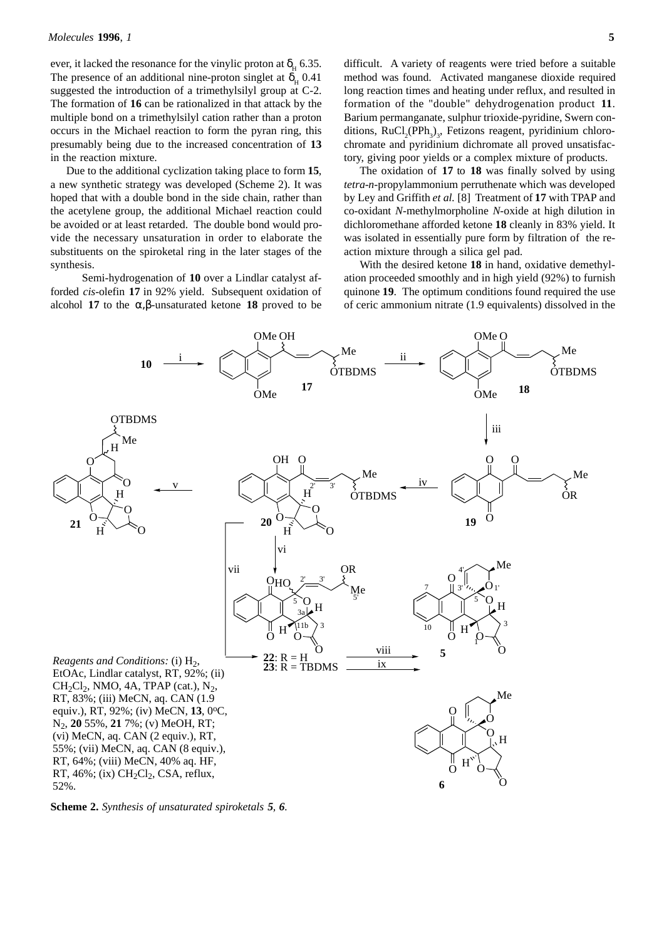ever, it lacked the resonance for the vinylic proton at  $\delta_{\rm H}$  6.35. The presence of an additional nine-proton singlet at  $\delta_{\rm H}$  0.41 suggested the introduction of a trimethylsilyl group at C-2. The formation of **16** can be rationalized in that attack by the multiple bond on a trimethylsilyl cation rather than a proton occurs in the Michael reaction to form the pyran ring, this presumably being due to the increased concentration of **13** in the reaction mixture.

Due to the additional cyclization taking place to form **15**, a new synthetic strategy was developed (Scheme 2). It was hoped that with a double bond in the side chain, rather than the acetylene group, the additional Michael reaction could be avoided or at least retarded. The double bond would provide the necessary unsaturation in order to elaborate the substituents on the spiroketal ring in the later stages of the synthesis.

Semi-hydrogenation of **10** over a Lindlar catalyst afforded *cis*-olefin **17** in 92% yield. Subsequent oxidation of alcohol **17** to the  $\alpha$ , β-unsaturated ketone **18** proved to be difficult. A variety of reagents were tried before a suitable method was found. Activated manganese dioxide required long reaction times and heating under reflux, and resulted in formation of the "double" dehydrogenation product **11**. Barium permanganate, sulphur trioxide-pyridine, Swern conditions,  $RuCl_2(PPh_3)_3$ , Fetizons reagent, pyridinium chlorochromate and pyridinium dichromate all proved unsatisfactory, giving poor yields or a complex mixture of products.

The oxidation of **17** to **18** was finally solved by using *tetra*-*n*-propylammonium perruthenate which was developed by Ley and Griffith *et al.* [8] Treatment of **17** with TPAP and co-oxidant *N*-methylmorpholine *N*-oxide at high dilution in dichloromethane afforded ketone **18** cleanly in 83% yield. It was isolated in essentially pure form by filtration of the reaction mixture through a silica gel pad.

With the desired ketone **18** in hand, oxidative demethylation proceeded smoothly and in high yield (92%) to furnish quinone **19**. The optimum conditions found required the use of ceric ammonium nitrate (1.9 equivalents) dissolved in the



**Scheme 2.** *Synthesis of unsaturated spiroketals 5, 6.*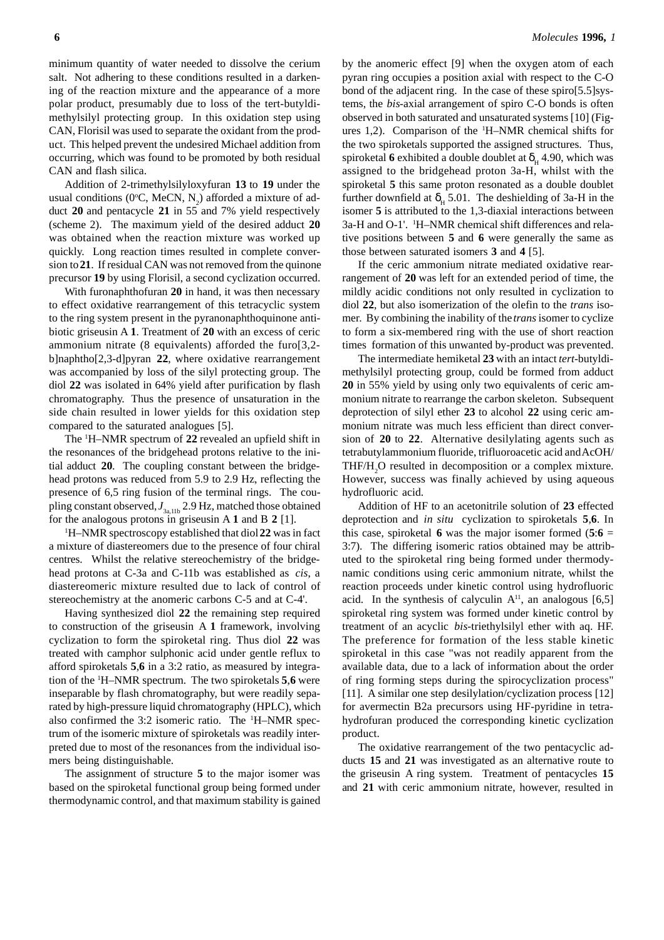minimum quantity of water needed to dissolve the cerium salt. Not adhering to these conditions resulted in a darkening of the reaction mixture and the appearance of a more polar product, presumably due to loss of the tert-butyldimethylsilyl protecting group. In this oxidation step using CAN, Florisil was used to separate the oxidant from the product. This helped prevent the undesired Michael addition from occurring, which was found to be promoted by both residual CAN and flash silica.

Addition of 2-trimethylsilyloxyfuran **13** to **19** under the usual conditions (0°C, MeCN,  $N_2$ ) afforded a mixture of adduct **20** and pentacycle **21** in 55 and 7% yield respectively (scheme 2). The maximum yield of the desired adduct **20** was obtained when the reaction mixture was worked up quickly. Long reaction times resulted in complete conversion to **21**. If residual CAN was not removed from the quinone precursor **19** by using Florisil, a second cyclization occurred.

With furonaphthofuran **20** in hand, it was then necessary to effect oxidative rearrangement of this tetracyclic system to the ring system present in the pyranonaphthoquinone antibiotic griseusin A **1**. Treatment of **20** with an excess of ceric ammonium nitrate (8 equivalents) afforded the furo[3,2 b]naphtho[2,3-d]pyran **22**, where oxidative rearrangement was accompanied by loss of the silyl protecting group. The diol **22** was isolated in 64% yield after purification by flash chromatography. Thus the presence of unsaturation in the side chain resulted in lower yields for this oxidation step compared to the saturated analogues [5].

The 1 H–NMR spectrum of **22** revealed an upfield shift in the resonances of the bridgehead protons relative to the initial adduct **20**. The coupling constant between the bridgehead protons was reduced from 5.9 to 2.9 Hz, reflecting the presence of 6,5 ring fusion of the terminal rings. The coupling constant observed,  $J_{3a,11b}$  2.9 Hz, matched those obtained for the analogous protons in griseusin A **1** and B **2** [1].

1 H–NMR spectroscopy established that diol **22** was in fact a mixture of diastereomers due to the presence of four chiral centres. Whilst the relative stereochemistry of the bridgehead protons at C-3a and C-11b was established as *cis*, a diastereomeric mixture resulted due to lack of control of stereochemistry at the anomeric carbons C-5 and at C-4'.

Having synthesized diol **22** the remaining step required to construction of the griseusin A **1** framework, involving cyclization to form the spiroketal ring. Thus diol **22** was treated with camphor sulphonic acid under gentle reflux to afford spiroketals **5**,**6** in a 3:2 ratio, as measured by integration of the 1 H–NMR spectrum. The two spiroketals **5**,**6** were inseparable by flash chromatography, but were readily separated by high-pressure liquid chromatography (HPLC), which also confirmed the 3:2 isomeric ratio. The <sup>1</sup>H-NMR spectrum of the isomeric mixture of spiroketals was readily interpreted due to most of the resonances from the individual isomers being distinguishable.

The assignment of structure **5** to the major isomer was based on the spiroketal functional group being formed under thermodynamic control, and that maximum stability is gained by the anomeric effect [9] when the oxygen atom of each pyran ring occupies a position axial with respect to the C-O bond of the adjacent ring. In the case of these spiro[5.5]systems, the *bis*-axial arrangement of spiro C-O bonds is often observed in both saturated and unsaturated systems [10] (Figures 1,2). Comparison of the 1 H–NMR chemical shifts for the two spiroketals supported the assigned structures. Thus, spiroketal 6 exhibited a double doublet at  $\delta_{\rm H}$  4.90, which was assigned to the bridgehead proton 3a-H, whilst with the spiroketal **5** this same proton resonated as a double doublet further downfield at  $\delta_{\rm H}$  5.01. The deshielding of 3a-H in the isomer **5** is attributed to the 1,3-diaxial interactions between 3a-H and O-1'. 1 H–NMR chemical shift differences and relative positions between **5** and **6** were generally the same as those between saturated isomers **3** and **4** [5].

If the ceric ammonium nitrate mediated oxidative rearrangement of **20** was left for an extended period of time, the mildly acidic conditions not only resulted in cyclization to diol **22**, but also isomerization of the olefin to the *trans* isomer. By combining the inability of the *trans* isomer to cyclize to form a six-membered ring with the use of short reaction times formation of this unwanted by-product was prevented.

The intermediate hemiketal **23** with an intact *tert*-butyldimethylsilyl protecting group, could be formed from adduct **20** in 55% yield by using only two equivalents of ceric ammonium nitrate to rearrange the carbon skeleton. Subsequent deprotection of silyl ether **23** to alcohol **22** using ceric ammonium nitrate was much less efficient than direct conversion of **20** to **22**. Alternative desilylating agents such as tetrabutylammonium fluoride, trifluoroacetic acid and AcOH/ THF/H<sub>2</sub>O resulted in decomposition or a complex mixture. However, success was finally achieved by using aqueous hydrofluoric acid.

Addition of HF to an acetonitrile solution of **23** effected deprotection and *in situ* cyclization to spiroketals **5**,**6**. In this case, spiroketal **6** was the major isomer formed  $(5.6 =$ 3:7). The differing isomeric ratios obtained may be attributed to the spiroketal ring being formed under thermodynamic conditions using ceric ammonium nitrate, whilst the reaction proceeds under kinetic control using hydrofluoric acid. In the synthesis of calyculin  $A<sup>11</sup>$ , an analogous [6,5] spiroketal ring system was formed under kinetic control by treatment of an acyclic *bis*-triethylsilyl ether with aq. HF. The preference for formation of the less stable kinetic spiroketal in this case "was not readily apparent from the available data, due to a lack of information about the order of ring forming steps during the spirocyclization process" [11]. A similar one step desilylation/cyclization process [12] for avermectin B2a precursors using HF-pyridine in tetrahydrofuran produced the corresponding kinetic cyclization product.

The oxidative rearrangement of the two pentacyclic adducts **15** and **21** was investigated as an alternative route to the griseusin A ring system. Treatment of pentacycles **15** and **21** with ceric ammonium nitrate, however, resulted in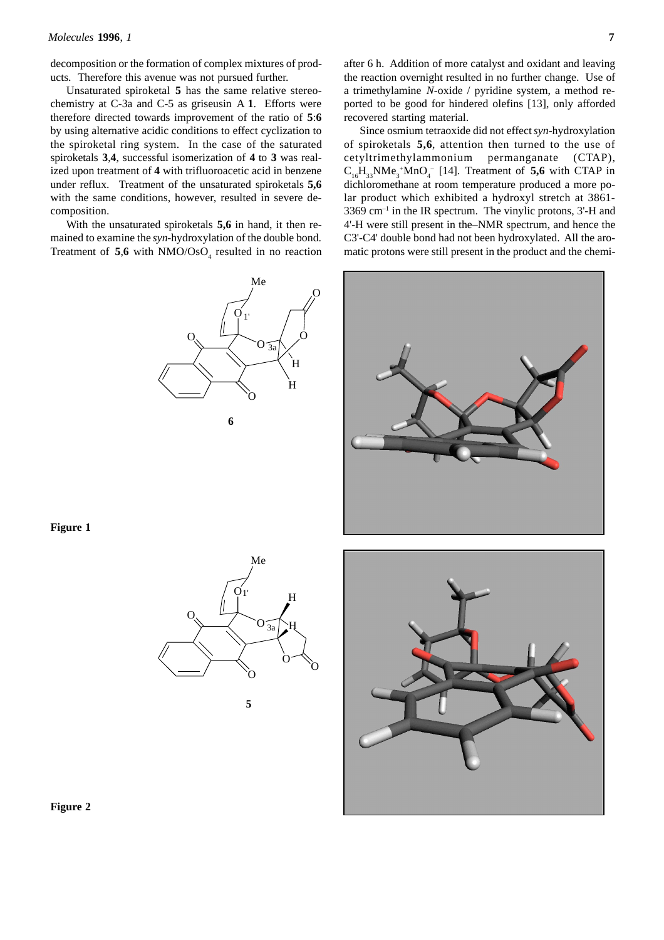decomposition or the formation of complex mixtures of products. Therefore this avenue was not pursued further.

Unsaturated spiroketal **5** has the same relative stereochemistry at C-3a and C-5 as griseusin A **1**. Efforts were therefore directed towards improvement of the ratio of **5**:**6** by using alternative acidic conditions to effect cyclization to the spiroketal ring system. In the case of the saturated spiroketals **3**,**4**, successful isomerization of **4** to **3** was realized upon treatment of **4** with trifluoroacetic acid in benzene under reflux. Treatment of the unsaturated spiroketals **5,6** with the same conditions, however, resulted in severe decomposition.

With the unsaturated spiroketals **5,6** in hand, it then remained to examine the *syn*-hydroxylation of the double bond. Treatment of  $5.6$  with NMO/OsO<sub>4</sub> resulted in no reaction



after 6 h. Addition of more catalyst and oxidant and leaving the reaction overnight resulted in no further change. Use of a trimethylamine *N*-oxide / pyridine system, a method reported to be good for hindered olefins [13], only afforded recovered starting material.

Since osmium tetraoxide did not effect *syn*-hydroxylation of spiroketals **5,6**, attention then turned to the use of cetyltrimethylammonium permanganate (CTAP),  $C_{16}H_{33}NMe_3^+MnO_4^-$  [14]. Treatment of **5,6** with CTAP in dichloromethane at room temperature produced a more polar product which exhibited a hydroxyl stretch at 3861-  $3369 \text{ cm}^{-1}$  in the IR spectrum. The vinylic protons, 3'-H and 4'-H were still present in the–NMR spectrum, and hence the C3'-C4' double bond had not been hydroxylated. All the aromatic protons were still present in the product and the chemi-



### **Figure 1**



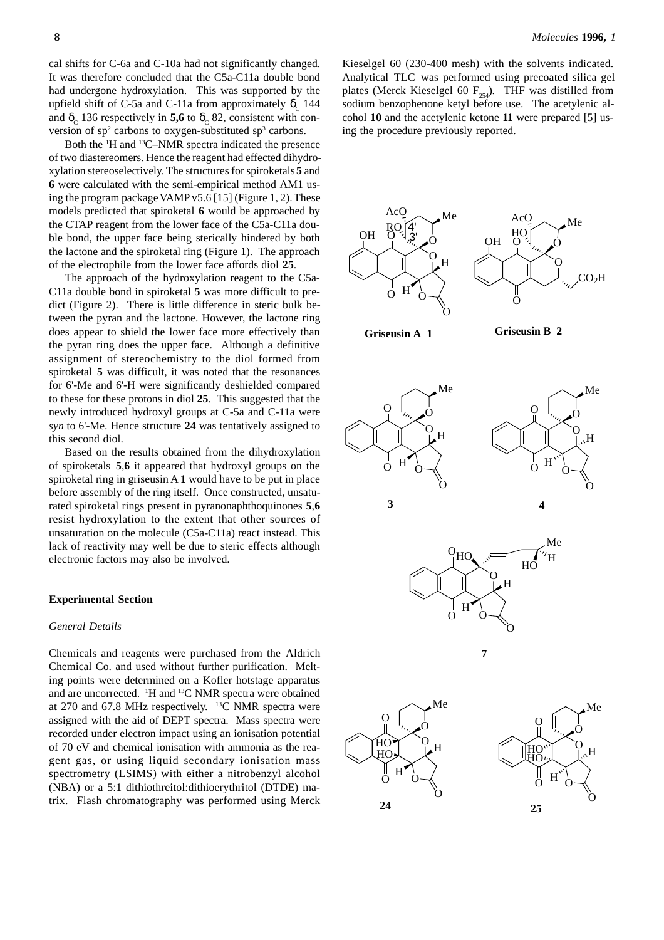cal shifts for C-6a and C-10a had not significantly changed. It was therefore concluded that the C5a-C11a double bond had undergone hydroxylation. This was supported by the upfield shift of C-5a and C-11a from approximately  $δ<sub>c</sub>$  144 and  $\delta_c$  136 respectively in **5,6** to  $\delta_c$  82, consistent with conversion of  $sp<sup>2</sup>$  carbons to oxygen-substituted  $sp<sup>3</sup>$  carbons.

Both the 1 H and 13C–NMR spectra indicated the presence of two diastereomers. Hence the reagent had effected dihydroxylation stereoselectively. The structures for spiroketals **5** and **6** were calculated with the semi-empirical method AM1 using the program package VAMP v5.6 [15] (Figure 1, 2). These models predicted that spiroketal **6** would be approached by the CTAP reagent from the lower face of the C5a-C11a double bond, the upper face being sterically hindered by both the lactone and the spiroketal ring (Figure 1). The approach of the electrophile from the lower face affords diol **25**.

The approach of the hydroxylation reagent to the C5a-C11a double bond in spiroketal **5** was more difficult to predict (Figure 2). There is little difference in steric bulk between the pyran and the lactone. However, the lactone ring does appear to shield the lower face more effectively than the pyran ring does the upper face. Although a definitive assignment of stereochemistry to the diol formed from spiroketal **5** was difficult, it was noted that the resonances for 6'-Me and 6'-H were significantly deshielded compared to these for these protons in diol **25**. This suggested that the newly introduced hydroxyl groups at C-5a and C-11a were *syn* to 6'-Me. Hence structure **24** was tentatively assigned to this second diol.

Based on the results obtained from the dihydroxylation of spiroketals **5**,**6** it appeared that hydroxyl groups on the spiroketal ring in griseusin A **1** would have to be put in place before assembly of the ring itself. Once constructed, unsaturated spiroketal rings present in pyranonaphthoquinones **5**,**6** resist hydroxylation to the extent that other sources of unsaturation on the molecule (C5a-C11a) react instead. This lack of reactivity may well be due to steric effects although electronic factors may also be involved.

#### **Experimental Section**

#### *General Details*

Chemicals and reagents were purchased from the Aldrich Chemical Co. and used without further purification. Melting points were determined on a Kofler hotstage apparatus and are uncorrected. <sup>1</sup>H and <sup>13</sup>C NMR spectra were obtained at 270 and 67.8 MHz respectively. 13C NMR spectra were assigned with the aid of DEPT spectra. Mass spectra were recorded under electron impact using an ionisation potential of 70 eV and chemical ionisation with ammonia as the reagent gas, or using liquid secondary ionisation mass spectrometry (LSIMS) with either a nitrobenzyl alcohol (NBA) or a 5:1 dithiothreitol:dithioerythritol (DTDE) matrix. Flash chromatography was performed using Merck Kieselgel 60 (230-400 mesh) with the solvents indicated. Analytical TLC was performed using precoated silica gel plates (Merck Kieselgel 60  $F_{254}$ ). THF was distilled from sodium benzophenone ketyl before use. The acetylenic alcohol **10** and the acetylenic ketone **11** were prepared [5] using the procedure previously reported.

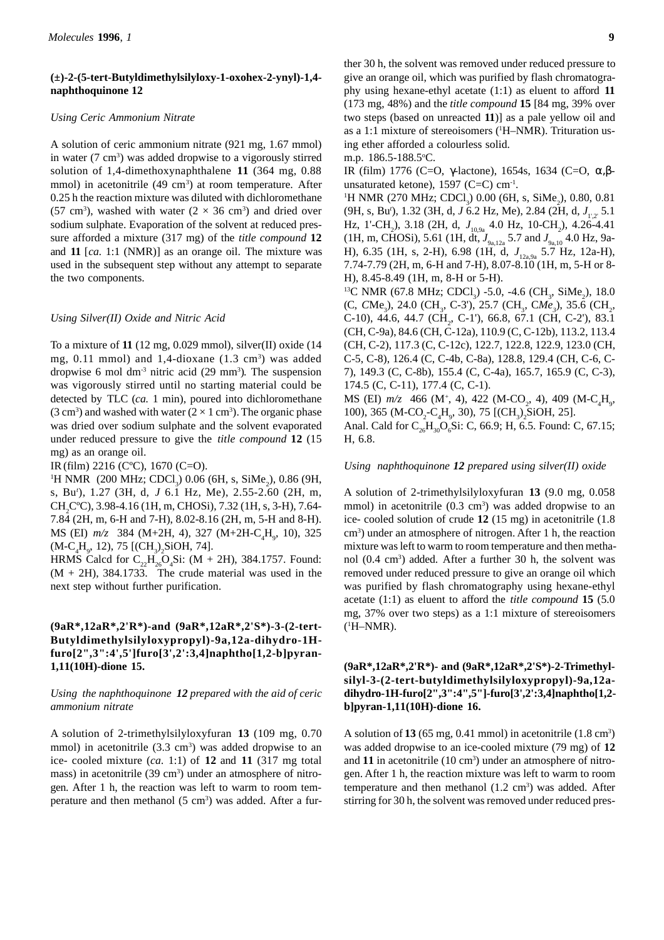### **(±)-2-(5-tert-Butyldimethylsilyloxy-1-oxohex-2-ynyl)-1,4 naphthoquinone 12**

#### *Using Ceric Ammonium Nitrate*

A solution of ceric ammonium nitrate (921 mg, 1.67 mmol) in water (7 cm<sup>3</sup>) was added dropwise to a vigorously stirred solution of 1,4-dimethoxynaphthalene **11** (364 mg, 0.88 mmol) in acetonitrile (49 cm<sup>3</sup>) at room temperature. After 0.25 h the reaction mixture was diluted with dichloromethane (57 cm<sup>3</sup>), washed with water ( $2 \times 36$  cm<sup>3</sup>) and dried over sodium sulphate. Evaporation of the solvent at reduced pressure afforded a mixture (317 mg) of the *title compound* **12** and **11** [*ca.* 1:1 (NMR)] as an orange oil. The mixture was used in the subsequent step without any attempt to separate the two components.

#### *Using Silver(II) Oxide and Nitric Acid*

To a mixture of **11** (12 mg, 0.029 mmol), silver(II) oxide (14 mg,  $0.11$  mmol) and  $1,4$ -dioxane  $(1.3 \text{ cm}^3)$  was added dropwise 6 mol dm<sup>-3</sup> nitric acid  $(29 \text{ mm}^3)$ . The suspension was vigorously stirred until no starting material could be detected by TLC (*ca.* 1 min), poured into dichloromethane  $(3 \text{ cm}^3)$  and washed with water  $(2 \times 1 \text{ cm}^3)$ . The organic phase was dried over sodium sulphate and the solvent evaporated under reduced pressure to give the *title compound* **12** (15 mg) as an orange oil.

IR(film) 2216 (CºC), 1670 (C=O).

<sup>1</sup>H NMR (200 MHz; CDCl<sub>3</sub>) 0.06 (6H, s, SiMe<sub>2</sub>), 0.86 (9H, s, Bu*<sup>t</sup>* ), 1.27 (3H, d, *J* 6.1 Hz, Me), 2.55-2.60 (2H, m, CH<sub>2</sub>C°C), 3.98-4.16 (1H, m, CHOSi), 7.32 (1H, s, 3-H), 7.64-7.84 (2H, m, 6-H and 7-H), 8.02-8.16 (2H, m, 5-H and 8-H). MS (EI)  $m/z$  384 (M+2H, 4), 327 (M+2H-C<sub>4</sub>H<sub>9</sub>, 10), 325  $(M-C<sub>4</sub>H<sub>9</sub>, 12), 75 [(CH<sub>3</sub>)<sub>2</sub>SiOH, 74].$ 

HRMS Calcd for  $C_{22}H_{26}O_4Si$ : (M + 2H), 384.1757. Found:  $(M + 2H)$ , 384.1733. The crude material was used in the next step without further purification.

### **(9aR\*,12aR\*,2'R\*)-and (9aR\*,12aR\*,2'S\*)-3-(2-tert-Butyldimethylsilyloxypropyl)-9a,12a-dihydro-1Hfuro[2",3":4',5']furo[3',2':3,4]naphtho[1,2-b]pyran-1,11(10H)-dione 15.**

### *Using the naphthoquinone 12 prepared with the aid of ceric ammonium nitrate*

A solution of 2-trimethylsilyloxyfuran **13** (109 mg, 0.70 mmol) in acetonitrile  $(3.3 \text{ cm}^3)$  was added dropwise to an ice- cooled mixture (*ca.* 1:1) of **12** and **11** (317 mg total mass) in acetonitrile (39 cm<sup>3</sup>) under an atmosphere of nitrogen. After 1 h, the reaction was left to warm to room temperature and then methanol (5 cm<sup>3</sup>) was added. After a fur-

ther 30 h, the solvent was removed under reduced pressure to give an orange oil, which was purified by flash chromatography using hexane-ethyl acetate (1:1) as eluent to afford **11** (173 mg, 48%) and the *title compound* **15** [84 mg, 39% over two steps (based on unreacted **11**)] as a pale yellow oil and as a 1:1 mixture of stereoisomers (1 H–NMR). Trituration using ether afforded a colourless solid.

m.p. 186.5-188.5°C.

IR (film) 1776 (C=O, γ-lactone), 1654s, 1634 (C=O, α,βunsaturated ketone),  $1597$  (C=C) cm<sup>-1</sup>.

 ${}^{1}$ H NMR (270 MHz; CDCl<sub>3</sub>) 0.00 (6H, s, SiMe<sub>2</sub>), 0.80, 0.81 (9H, s, Bu<sup>*i*</sup>), 1.32 (3H, d, *J* 6.2 Hz, Me), 2.84 (2H, d, *J*<sub>1',2'</sub> 5.1 Hz, 1'-CH<sub>2</sub>), 3.18 (2H, d,  $J_{10,9a}$  4.0 Hz, 10-CH<sub>2</sub>), 4.26-4.41 (1H, m, CHOSi), 5.61 (1H, dt,  $J_{9a,12a}$  5.7 and  $J_{9a,10}$  4.0 Hz, 9a-H), 6.35 (1H, s, 2-H), 6.98 (1H, d,  $J_{122.99}$  5.7 Hz, 12a-H), 7.74-7.79 (2H, m, 6-H and 7-H), 8.07-8.10 (1H, m, 5-H or 8- H), 8.45-8.49 (1H, m, 8-H or 5-H).

<sup>13</sup>C NMR (67.8 MHz; CDCl<sub>3</sub>) -5.0, -4.6 (CH<sub>3</sub>, SiMe<sub>2</sub>), 18.0 (C, CMe<sub>3</sub>), 24.0 (CH<sub>3</sub>, C-3'), 25.7 (CH<sub>3</sub>, CMe<sub>3</sub>), 35.6 (CH<sub>2</sub>, C-10), 44.6, 44.7 (CH<sub>2</sub>, C-1'), 66.8, 67.1 (CH, C-2'), 83.1 (CH, C-9a), 84.6 (CH, C-12a), 110.9 (C, C-12b), 113.2, 113.4 (CH, C-2), 117.3 (C, C-12c), 122.7, 122.8, 122.9, 123.0 (CH, C-5, C-8), 126.4 (C, C-4b, C-8a), 128.8, 129.4 (CH, C-6, C-7), 149.3 (C, C-8b), 155.4 (C, C-4a), 165.7, 165.9 (C, C-3), 174.5 (C, C-11), 177.4 (C, C-1).

MS (EI)  $m/z$  466 (M<sup>+</sup>, 4), 422 (M-CO<sub>2</sub>, 4), 409 (M-C<sub>4</sub>H<sub>9</sub>, 100), 365 (M-CO<sub>2</sub>-C<sub>4</sub>H<sub>9</sub>, 30), 75 [(CH<sub>3</sub>)<sub>2</sub>SiOH, 25]. Anal. Cald for  $C_{26}H_{30}O_6Si$ : C, 66.9; H, 6.5. Found: C, 67.15;

H, 6.8.

#### *Using naphthoquinone 12 prepared using silver(II) oxide*

A solution of 2-trimethylsilyloxyfuran **13** (9.0 mg, 0.058 mmol) in acetonitrile (0.3 cm<sup>3</sup>) was added dropwise to an ice- cooled solution of crude **12** (15 mg) in acetonitrile (1.8 cm3 ) under an atmosphere of nitrogen. After 1 h, the reaction mixture was left to warm to room temperature and then methanol (0.4 cm3 ) added. After a further 30 h, the solvent was removed under reduced pressure to give an orange oil which was purified by flash chromatography using hexane-ethyl acetate (1:1) as eluent to afford the *title compound* **15** (5.0 mg, 37% over two steps) as a 1:1 mixture of stereoisomers  $(^1H-NMR)$ .

# **(9aR\*,12aR\*,2'R\*)- and (9aR\*,12aR\*,2'S\*)-2-Trimethylsilyl-3-(2-tert-butyldimethylsilyloxypropyl)-9a,12adihydro-1H-furo[2",3":4",5"]-furo[3',2':3,4]naphtho[1,2 b]pyran-1,11(10H)-dione 16.**

A solution of  $13(65 \text{ mg}, 0.41 \text{ mmol})$  in acetonitrile  $(1.8 \text{ cm}^3)$ was added dropwise to an ice-cooled mixture (79 mg) of **12** and 11 in acetonitrile (10 cm<sup>3</sup>) under an atmosphere of nitrogen. After 1 h, the reaction mixture was left to warm to room temperature and then methanol  $(1.2 \text{ cm}^3)$  was added. After stirring for 30 h, the solvent was removed under reduced pres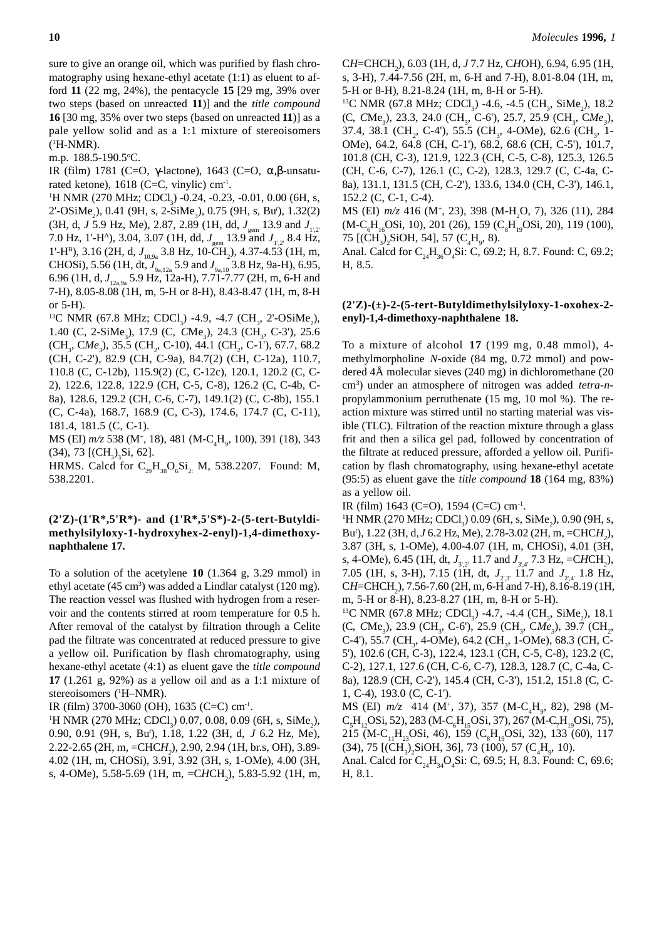sure to give an orange oil, which was purified by flash chromatography using hexane-ethyl acetate (1:1) as eluent to afford **11** (22 mg, 24%), the pentacycle **15** [29 mg, 39% over two steps (based on unreacted **11**)] and the *title compound* **16** [30 mg, 35% over two steps (based on unreacted **11**)] as a pale yellow solid and as a 1:1 mixture of stereoisomers (1 H-NMR).

m.p. 188.5-190.5°C.

IR (film) 1781 (C=O, γ-lactone), 1643 (C=O, α,β-unsaturated ketone),  $1618$  (C=C, vinylic) cm<sup>-1</sup>.

<sup>1</sup>H NMR (270 MHz; CDCl<sub>3</sub>) -0.24, -0.23, -0.01, 0.00 (6H, s, 2'-OSiMe<sub>2</sub>), 0.41 (9H, s, 2-SiMe<sub>3</sub>), 0.75 (9H, s, Bu<sup>*r*</sup>), 1.32(2) (3H, d, J 5.9 Hz, Me), 2.87, 2.89 (1H, dd,  $J_{\text{gem}}$  13.9 and  $J_{\text{Ly}}$ 7.0 Hz, 1'-H<sup>A</sup>), 3.04, 3.07 (1H, dd,  $J_{\text{gem}}$  13.9 and  $J_{1,2}$  8.4 Hz, 1'-H<sup>B</sup>), 3.16 (2H, d, J<sub>10,9a</sub> 3.8 Hz, 10-CH<sub>2</sub>), 4.37-4.53 (1H, m, CHOSi), 5.56 (1H, dt,  $J_{9a,12a}$  5.9 and  $J_{9a,10}$  3.8 Hz, 9a-H), 6.95, 6.96 (1H, d, J<sub>12a,9a</sub> 5.9 Hz, 12a-H), 7.71-7.77 (2H, m, 6-H and 7-H), 8.05-8.08 (1H, m, 5-H or 8-H), 8.43-8.47 (1H, m, 8-H or 5-H).

<sup>13</sup>C NMR (67.8 MHz; CDCl<sub>3</sub>) -4.9, -4.7 (CH<sub>3</sub>, 2'-OSiMe<sub>2</sub>), 1.40 (C, 2-SiMe<sub>3</sub>), 17.9 (C, *CMe<sub>3</sub>)*, 24.3 (CH<sub>3</sub>, C-3'), 25.6 (CH<sub>3</sub>, CMe<sub>3</sub>), 35.5 (CH<sub>2</sub>, C-10), 44.1 (CH<sub>2</sub>, C-1'), 67.7, 68.2 (CH, C-2'), 82.9 (CH, C-9a), 84.7(2) (CH, C-12a), 110.7, 110.8 (C, C-12b), 115.9(2) (C, C-12c), 120.1, 120.2 (C, C-2), 122.6, 122.8, 122.9 (CH, C-5, C-8), 126.2 (C, C-4b, C-8a), 128.6, 129.2 (CH, C-6, C-7), 149.1(2) (C, C-8b), 155.1 (C, C-4a), 168.7, 168.9 (C, C-3), 174.6, 174.7 (C, C-11), 181.4, 181.5 (C, C-1).

MS (EI) *m/z* 538 (M<sup>+</sup>, 18), 481 (M-C<sub>4</sub>H<sub>9</sub>, 100), 391 (18), 343  $(34)$ , 73 [ $(CH<sub>3</sub>)<sub>3</sub>Si$ , 62].

HRMS. Calcd for  $C_{29}H_{38}O_6Si_2$  M, 538.2207. Found: M, 538.2201.

### **(2'Z)-(1'R\*,5'R\*)- and (1'R\*,5'S\*)-2-(5-tert-Butyldimethylsilyloxy-1-hydroxyhex-2-enyl)-1,4-dimethoxynaphthalene 17.**

To a solution of the acetylene **10** (1.364 g, 3.29 mmol) in ethyl acetate  $(45 \text{ cm}^3)$  was added a Lindlar catalyst  $(120 \text{ mg})$ . The reaction vessel was flushed with hydrogen from a reservoir and the contents stirred at room temperature for 0.5 h. After removal of the catalyst by filtration through a Celite pad the filtrate was concentrated at reduced pressure to give a yellow oil. Purification by flash chromatography, using hexane-ethyl acetate (4:1) as eluent gave the *title compound* **17** (1.261 g, 92%) as a yellow oil and as a 1:1 mixture of stereoisomers (1 H–NMR).

IR (film) 3700-3060 (OH), 1635 (C=C) cm<sup>-1</sup>.

 ${}^{1}$ H NMR (270 MHz; CDCl<sub>3</sub>) 0.07, 0.08, 0.09 (6H, s, SiMe<sub>2</sub>), 0.90, 0.91 (9H, s, Bu*<sup>t</sup>* ), 1.18, 1.22 (3H, d, *J* 6.2 Hz, Me), 2.22-2.65 (2H, m, =CHC*H2* ), 2.90, 2.94 (1H, br.s, OH), 3.89- 4.02 (1H, m, CHOSi), 3.91, 3.92 (3H, s, 1-OMe), 4.00 (3H, s, 4-OMe), 5.58-5.69 (1H, m, =CHCH<sub>2</sub>), 5.83-5.92 (1H, m,

C*H*=CHCH2 ), 6.03 (1H, d, *J* 7.7 Hz, C*H*OH), 6.94, 6.95 (1H, s, 3-H), 7.44-7.56 (2H, m, 6-H and 7-H), 8.01-8.04 (1H, m, 5-H or 8-H), 8.21-8.24 (1H, m, 8-H or 5-H).

<sup>13</sup>C NMR (67.8 MHz; CDCl<sub>3</sub>) -4.6, -4.5 (CH<sub>3</sub>, SiMe<sub>2</sub>), 18.2 (C, CMe<sub>3</sub>), 23.3, 24.0 (CH<sub>3</sub>, C-6'), 25.7, 25.9 (CH<sub>3</sub>, C*Me<sub>3</sub>*), 37.4, 38.1 (CH<sub>2</sub>, C-4'), 55.5 (CH<sub>3</sub>, 4-OMe), 62.6 (CH<sub>3</sub>, 1-OMe), 64.2, 64.8 (CH, C-1'), 68.2, 68.6 (CH, C-5'), 101.7, 101.8 (CH, C-3), 121.9, 122.3 (CH, C-5, C-8), 125.3, 126.5 (CH, C-6, C-7), 126.1 (C, C-2), 128.3, 129.7 (C, C-4a, C-8a), 131.1, 131.5 (CH, C-2'), 133.6, 134.0 (CH, C-3'), 146.1, 152.2 (C, C-1, C-4).

MS (EI)  $m/z$  416 (M<sup>+</sup>, 23), 398 (M-H<sub>2</sub>O, 7), 326 (11), 284 (M-C<sub>6</sub>H<sub>16</sub>OSi, 10), 201 (26), 159 (C<sub>8</sub>H<sub>19</sub>OSi, 20), 119 (100), 75 [(CH<sub>3</sub>)<sub>2</sub>SiOH, 54], 57 (C<sub>4</sub>H<sub>9</sub>, 8).

Anal. Calcd for  $C_{24}H_{36}O_{4}Si$ : C, 69.2; H, 8.7. Found: C, 69.2; H, 8.5.

# **(2'Z)-(±)-2-(5-tert-Butyldimethylsilyloxy-1-oxohex-2 enyl)-1,4-dimethoxy-naphthalene 18.**

To a mixture of alcohol **17** (199 mg, 0.48 mmol), 4 methylmorpholine *N*-oxide (84 mg, 0.72 mmol) and powdered 4Å molecular sieves (240 mg) in dichloromethane (20 cm3 ) under an atmosphere of nitrogen was added *tetra*-*n*propylammonium perruthenate (15 mg, 10 mol %). The reaction mixture was stirred until no starting material was visible (TLC). Filtration of the reaction mixture through a glass frit and then a silica gel pad, followed by concentration of the filtrate at reduced pressure, afforded a yellow oil. Purification by flash chromatography, using hexane-ethyl acetate (95:5) as eluent gave the *title compound* **18** (164 mg, 83%) as a yellow oil.

IR (film) 1643 (C=O), 1594 (C=C) cm-1.

<sup>1</sup>H NMR (270 MHz; CDCl<sub>3</sub>) 0.09 (6H, s, SiMe<sub>2</sub>), 0.90 (9H, s, Bu*<sup>t</sup>* ), 1.22 (3H, d, *J* 6.2 Hz, Me), 2.78-3.02 (2H, m, =CHC*H2* ), 3.87 (3H, s, 1-OMe), 4.00-4.07 (1H, m, CHOSi), 4.01 (3H, s, 4-OMe), 6.45 (1H, dt,  $J_{3'2'}$  11.7 and  $J_{3'4'}$  7.3 Hz, =CHCH<sub>2</sub>), 7.05 (1H, s, 3-H), 7.15 (1H, dt,  $J_{\gamma x}$ , 11.7 and  $J_{\gamma x}$ , 1.8 Hz, CH=CHCH<sub>2</sub>), 7.56-7.60 (2H, m, 6-H and 7-H), 8.16-8.19 (1H, m, 5-H or 8-H), 8.23-8.27 (1H, m, 8-H or 5-H).

<sup>13</sup>C NMR (67.8 MHz; CDCl<sub>3</sub>) -4.7, -4.4 (CH<sub>3</sub>, SiMe<sub>2</sub>), 18.1 (C, CMe<sub>3</sub>), 23.9 (CH<sub>3</sub>, C-6'), 25.9 (CH<sub>3</sub>, CMe<sub>3</sub>), 39.7 (CH<sub>2</sub>, C-4'), 55.7 (CH<sub>3</sub>, 4-OMe), 64.2 (CH<sub>3</sub>, 1-OMe), 68.3 (CH, C-5'), 102.6 (CH, C-3), 122.4, 123.1 (CH, C-5, C-8), 123.2 (C, C-2), 127.1, 127.6 (CH, C-6, C-7), 128.3, 128.7 (C, C-4a, C-8a), 128.9 (CH, C-2'), 145.4 (CH, C-3'), 151.2, 151.8 (C, C-1, C-4), 193.0 (C, C-1').

MS (EI)  $m/z$  414 (M<sup>+</sup>, 37), 357 (M-C<sub>4</sub>H<sub>9</sub>, 82), 298 (M- $C_5H_{12}$ OSi, 52), 283 (M-C<sub>6</sub>H<sub>15</sub>OSi, 37), 267 (M-C<sub>7</sub>H<sub>19</sub>OSi, 75), 215 (M-C<sub>11</sub>H<sub>23</sub>OSi, 46), 159 (C<sub>8</sub>H<sub>19</sub>OSi, 32), 133 (60), 117  $(34)$ , 75 [(CH<sub>3</sub>)<sub>2</sub>SiOH, 36], 73 (100), 57 (C<sub>4</sub>H<sub>9</sub>, 10).

Anal. Calcd for  $C_{24}H_{34}O_4Si$ : C, 69.5; H, 8.3. Found: C, 69.6; H, 8.1.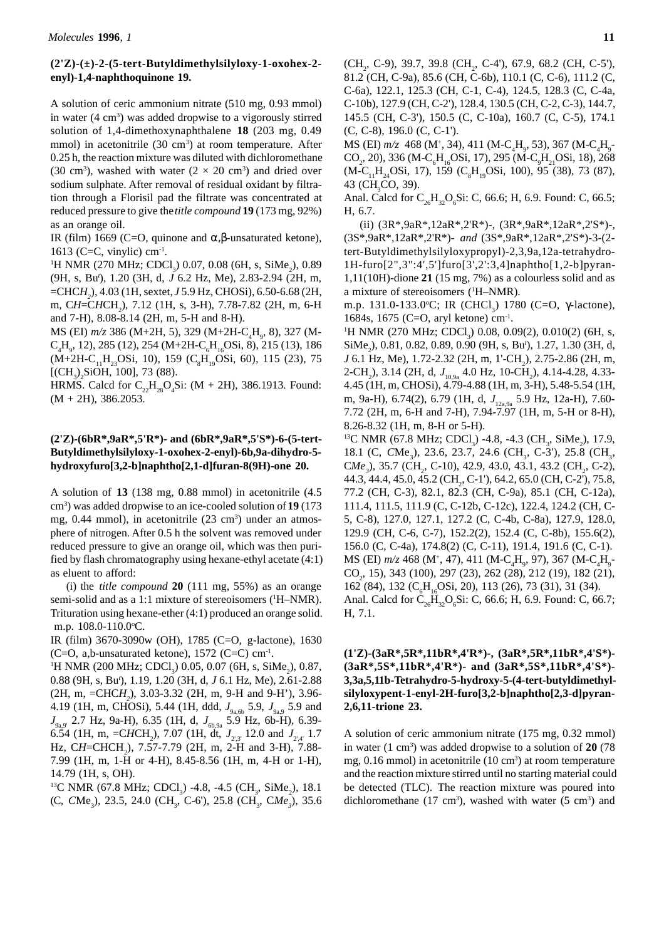### **(2'Z)-(±)-2-(5-tert-Butyldimethylsilyloxy-1-oxohex-2 enyl)-1,4-naphthoquinone 19.**

A solution of ceric ammonium nitrate (510 mg, 0.93 mmol) in water (4 cm<sup>3</sup>) was added dropwise to a vigorously stirred solution of 1,4-dimethoxynaphthalene **18** (203 mg, 0.49 mmol) in acetonitrile (30 cm<sup>3</sup>) at room temperature. After 0.25 h, the reaction mixture was diluted with dichloromethane (30 cm<sup>3</sup>), washed with water ( $2 \times 20$  cm<sup>3</sup>) and dried over sodium sulphate. After removal of residual oxidant by filtration through a Florisil pad the filtrate was concentrated at reduced pressure to give the *title compound* **19** (173 mg, 92%) as an orange oil.

IR (film) 1669 (C=O, quinone and α, β-unsaturated ketone), 1613 (C=C, vinylic)  $cm<sup>-1</sup>$ .

 ${}^{1}$ H NMR (270 MHz; CDCl<sub>3</sub>) 0.07, 0.08 (6H, s, SiMe<sub>2</sub>), 0.89 (9H, s, Bu*<sup>t</sup>* ), 1.20 (3H, d, *J* 6.2 Hz, Me), 2.83-2.94 (2H, m, =CHC*H2* ), 4.03 (1H, sextet, *J* 5.9 Hz, CHOSi), 6.50-6.68 (2H, m, CH=CHCH<sub>2</sub>), 7.12 (1H, s, 3-H), 7.78-7.82 (2H, m, 6-H and 7-H), 8.08-8.14 (2H, m, 5-H and 8-H).

MS (EI)  $m/z$  386 (M+2H, 5), 329 (M+2H-C<sub>4</sub>H<sub>9</sub>, 8), 327 (M- $C_4H_9$ , 12), 285 (12), 254 (M+2H- $C_6H_{16}$ OSi, 8), 215 (13), 186  $(M+2H-C_{11}H_{23}OSi, 10)$ , 159 (C<sub>8</sub>H<sub>19</sub>OSi, 60), 115 (23), 75 [ $(CH_3)_2$ SiOH, 100], 73 (88).

HRMS. Calcd for  $C_{22}H_{28}O_4Si$ : (M + 2H), 386.1913. Found:  $(M + 2H)$ , 386.2053.

# **(2'Z)-(6bR\*,9aR\*,5'R\*)- and (6bR\*,9aR\*,5'S\*)-6-(5-tert-Butyldimethylsilyloxy-1-oxohex-2-enyl)-6b,9a-dihydro-5 hydroxyfuro[3,2-b]naphtho[2,1-d]furan-8(9H)-one 20.**

A solution of **13** (138 mg, 0.88 mmol) in acetonitrile (4.5 cm3 ) was added dropwise to an ice-cooled solution of **19** (173 mg, 0.44 mmol), in acetonitrile (23 cm<sup>3</sup>) under an atmosphere of nitrogen. After 0.5 h the solvent was removed under reduced pressure to give an orange oil, which was then purified by flash chromatography using hexane-ethyl acetate (4:1) as eluent to afford:

(i) the *title compound* **20** (111 mg, 55%) as an orange semi-solid and as a 1:1 mixture of stereoisomers (<sup>1</sup>H-NMR). Trituration using hexane-ether (4:1) produced an orange solid. m.p. 108.0-110.0°C.

IR (film) 3670-3090w (OH), 1785 (C=O, g-lactone), 1630 (C=O, a,b-unsaturated ketone),  $1572$  (C=C) cm<sup>-1</sup>.

<sup>1</sup>H NMR (200 MHz; CDCl<sub>3</sub>) 0.05, 0.07 (6H, s, SiMe<sub>2</sub>), 0.87, 0.88 (9H, s, Bu*<sup>t</sup>* ), 1.19, 1.20 (3H, d, *J* 6.1 Hz, Me), 2.61-2.88 (2H, m, =CHC*H2* ), 3.03-3.32 (2H, m, 9-H and 9-H'), 3.96- 4.19 (1H, m, CHOSi), 5.44 (1H, ddd,  $J_{9a,6b}$  5.9,  $J_{9a,9}$  5.9 and *J*<sub>9a,9'</sub> 2.7 Hz, 9a-H), 6.35 (1H, d, *J*<sub>6b,9a</sub> 5.9 Hz, 6b-H), 6.39-6.54 (1H, m, =CHCH<sub>2</sub>), 7.07 (1H, dt,  $J_{2,3'}$  12.0 and  $J_{2,4'}$  1.7 Hz, CH=CHCH<sub>2</sub>), 7.57-7.79 (2H, m, 2-H and 3-H), 7.88-7.99 (1H, m, 1-H or 4-H), 8.45-8.56 (1H, m, 4-H or 1-H), 14.79 (1H, s, OH).

<sup>13</sup>C NMR (67.8 MHz; CDCl<sub>3</sub>) -4.8, -4.5 (CH<sub>3</sub>, SiMe<sub>2</sub>), 18.1 (C, CMe<sub>3</sub>), 23.5, 24.0 (CH<sub>3</sub>, C-6'), 25.8 (CH<sub>3</sub>, C*Me<sub>3</sub>*), 35.6 (C, C-8), 196.0 (C, C-1'). MS (EI) *m*/z 468 (M<sup>+</sup>, 34), 411 (M-C<sub>4</sub>H<sub>9</sub>, 53), 367 (M-C<sub>4</sub>H<sub>9</sub>- $CO_2$ , 20), 336 (M-C<sub>6</sub>H<sub>16</sub>OSi, 17), 295 (M-C<sub>9</sub>H<sub>21</sub>OSi, 18), 268 (M-C<sub>11</sub>H<sub>24</sub>OSi, 17), 159 (C<sub>8</sub>H<sub>19</sub>OSi, 100), 95 (38), 73 (87), 43 (CH<sub>3</sub>CO, 39).

Anal. Calcd for  $C_{26}H_{32}O_6Si$ : C, 66.6; H, 6.9. Found: C, 66.5; H, 6.7.

(ii) (3R\*,9aR\*,12aR\*,2'R\*)-, (3R\*,9aR\*,12aR\*,2'S\*)-, (3S\*,9aR\*,12aR\*,2'R\*)- *and* (3S\*,9aR\*,12aR\*,2'S\*)-3-(2 tert-Butyldimethylsilyloxypropyl)-2,3,9a,12a-tetrahydro-1H-furo[2",3":4',5']furo[3',2':3,4]naphtho[1,2-b]pyran-1,11(10H)-dione **21** (15 mg, 7%) as a colourless solid and as a mixture of stereoisomers (<sup>1</sup>H-NMR).

m.p. 131.0-133.0°C; IR (CHCl<sub>3</sub>) 1780 (C=O, γ-lactone), 1684s, 1675 (C=O, aryl ketone) cm<sup>-1</sup>.

<sup>1</sup>H NMR (270 MHz; CDCl<sub>3</sub>) 0.08, 0.09(2), 0.010(2) (6H, s, SiMe<sub>2</sub>), 0.81, 0.82, 0.89, 0.90 (9H, s, Bu<sup>*t*</sup>), 1.27, 1.30 (3H, d, *J* 6.1 Hz, Me), 1.72-2.32 (2H, m, 1'-CH<sub>2</sub>), 2.75-2.86 (2H, m, 2-CH<sub>2</sub>), 3.14 (2H, d,  $J_{10,9a}$  4.0 Hz, 10-CH<sub>2</sub>), 4.14-4.28, 4.33-4.45 (1H, m, CHOSi), 4.79-4.88 (1H, m, 3-H), 5.48-5.54 (1H, m, 9a-H), 6.74(2), 6.79 (1H, d,  $J_{12,99}$  5.9 Hz, 12a-H), 7.60-7.72 (2H, m, 6-H and 7-H), 7.94-7.97 (1H, m, 5-H or 8-H), 8.26-8.32 (1H, m, 8-H or 5-H).

<sup>13</sup>C NMR (67.8 MHz; CDCl<sub>3</sub>) -4.8, -4.3 (CH<sub>3</sub>, SiMe<sub>2</sub>), 17.9, 18.1 (C, CMe<sub>3</sub>), 23.6, 23.7, 24.6 (CH<sub>3</sub>, C-3'), 25.8 (CH<sub>3</sub>, CMe<sub>3</sub>), 35.7 (CH<sub>2</sub>, C-10), 42.9, 43.0, 43.1, 43.2 (CH<sub>2</sub>, C-2), 44.3, 44.4, 45.0, 45.2 (CH<sub>2</sub>, C-1'), 64.2, 65.0 (CH, C-2'), 75.8, 77.2 (CH, C-3), 82.1, 82.3 (CH, C-9a), 85.1 (CH, C-12a), 111.4, 111.5, 111.9 (C, C-12b, C-12c), 122.4, 124.2 (CH, C-5, C-8), 127.0, 127.1, 127.2 (C, C-4b, C-8a), 127.9, 128.0, 129.9 (CH, C-6, C-7), 152.2(2), 152.4 (C, C-8b), 155.6(2), 156.0 (C, C-4a), 174.8(2) (C, C-11), 191.4, 191.6 (C, C-1). MS (EI) *m/z* 468 (M<sup>+</sup>, 47), 411 (M-C<sub>4</sub>H<sub>9</sub>, 97), 367 (M-C<sub>4</sub>H<sub>9</sub>-CO<sub>2</sub>, 15), 343 (100), 297 (23), 262 (28), 212 (19), 182 (21), 162 (84), 132 (C<sub>6</sub>H<sub>16</sub>OSi, 20), 113 (26), 73 (31), 31 (34). Anal. Calcd for  $C_{26}H_{32}O_{6}Si$ : C, 66.6; H, 6.9. Found: C, 66.7; H, 7.1.

# **(1'Z)-(3aR\*,5R\*,11bR\*,4'R\*)-, (3aR\*,5R\*,11bR\*,4'S\*)- (3aR\*,5S\*,11bR\*,4'R\*)- and (3aR\*,5S\*,11bR\*,4'S\*)- 3,3a,5,11b-Tetrahydro-5-hydroxy-5-(4-tert-butyldimethylsilyloxypent-1-enyl-2H-furo[3,2-b]naphtho[2,3-d]pyran-2,6,11-trione 23.**

A solution of ceric ammonium nitrate (175 mg, 0.32 mmol) in water (1 cm<sup>3</sup>) was added dropwise to a solution of 20 (78) mg, 0.16 mmol) in acetonitrile (10 cm<sup>3</sup>) at room temperature and the reaction mixture stirred until no starting material could be detected (TLC). The reaction mixture was poured into dichloromethane (17 cm<sup>3</sup>), washed with water (5 cm<sup>3</sup>) and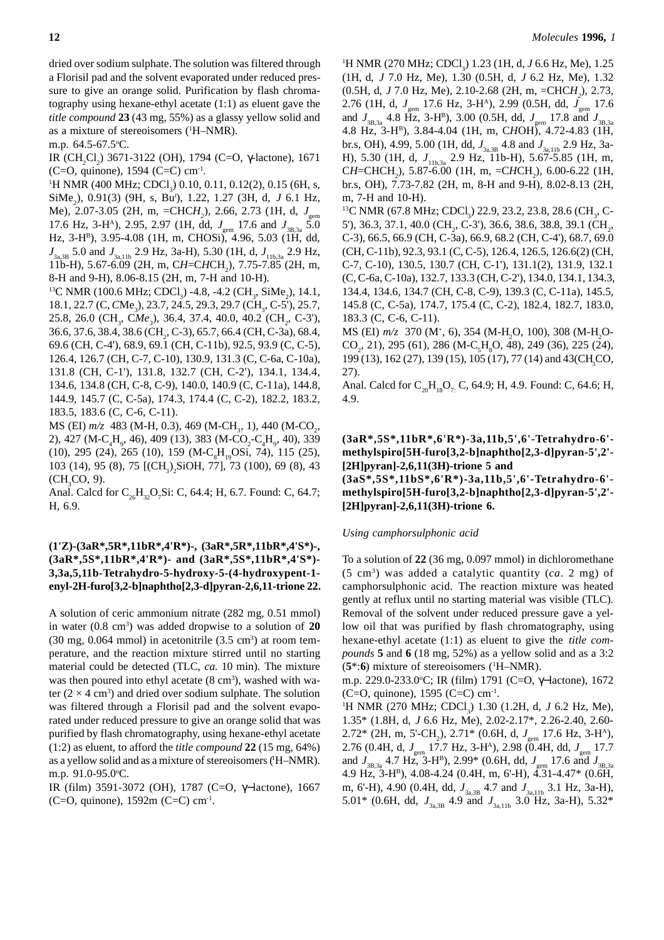dried over sodium sulphate. The solution was filtered through a Florisil pad and the solvent evaporated under reduced pressure to give an orange solid. Purification by flash chromatography using hexane-ethyl acetate (1:1) as eluent gave the *title compound* **23** (43 mg, 55%) as a glassy yellow solid and as a mixture of stereoisomers (1 H–NMR).

m.p. 64.5-67.5°C.

IR (CH<sub>2</sub>Cl<sub>2</sub>) 3671-3122 (OH), 1794 (C=O, γ-lactone), 1671 (C=O, quinone),  $1594$  (C=C) cm<sup>-1</sup>.

<sup>1</sup>H NMR (400 MHz; CDCl<sub>3</sub>) 0.10, 0.11, 0.12(2), 0.15 (6H, s, SiMe<sub>2</sub>), 0.91(3) (9H, s, Bu<sup>*t*</sup>), 1.22, 1.27 (3H, d, J 6.1 Hz, Me), 2.07-3.05 (2H, m, =CHC*H2* ), 2.66, 2.73 (1H, d, *J*gem 17.6 Hz, 3-H<sup>A</sup>), 2.95, 2.97 (1H, dd,  $J_{\text{gen}}$  17.6 and  $J_{\text{3B,3a}}$  5.0 Hz, 3-HB), 3.95-4.08 (1H, m, CHOSi), 4.96, 5.03 (1H, dd, *J*<sub>3a,3B</sub> 5.0 and *J*<sub>3a,11b</sub> 2.9 Hz, 3a-H), 5.30 (1H, d, *J*<sub>11b,3a</sub> 2.9 Hz, 11b-H), 5.67-6.09 (2H, m, CH=CHCH<sub>2</sub>), 7.75-7.85 (2H, m, 8-H and 9-H), 8.06-8.15 (2H, m, 7-H and 10-H).

<sup>13</sup>C NMR (100.6 MHz; CDCl<sub>3</sub>) -4.8, -4.2 (CH<sub>3</sub>, SiMe<sub>2</sub>), 14.1, 18.1, 22.7 (C, *C*Me<sub>3</sub>), 23.7, 24.5, 29.3, 29.7 (CH<sub>3</sub>, C-5'), 25.7, 25.8, 26.0 (CH<sub>3</sub>, CMe<sub>3</sub>), 36.4, 37.4, 40.0, 40.2 (CH<sub>2</sub>, C-3'), 36.6, 37.6, 38.4, 38.6 (CH<sub>2</sub>, C-3), 65.7, 66.4 (CH, C-3a), 68.4, 69.6 (CH, C-4'), 68.9, 69.1 (CH, C-11b), 92.5, 93.9 (C, C-5), 126.4, 126.7 (CH, C-7, C-10), 130.9, 131.3 (C, C-6a, C-10a), 131.8 (CH, C-1'), 131.8, 132.7 (CH, C-2'), 134.1, 134.4, 134.6, 134.8 (CH, C-8, C-9), 140.0, 140.9 (C, C-11a), 144.8, 144.9, 145.7 (C, C-5a), 174.3, 174.4 (C, C-2), 182.2, 183.2, 183.5, 183.6 (C, C-6, C-11).

MS (EI) *m*/z 483 (M-H, 0.3), 469 (M-CH<sub>3</sub>, 1), 440 (M-CO<sub>2</sub>, 2), 427 (M-C<sub>4</sub>H<sub>9</sub>, 46), 409 (13), 383 (M-CO<sub>2</sub>-C<sub>4</sub>H<sub>9</sub>, 40), 339 (10), 295 (24), 265 (10), 159 (M-C<sub>8</sub>H<sub>19</sub>OSi, 74), 115 (25), 103 (14), 95 (8), 75 [(CH<sub>3</sub>)<sub>2</sub>SiOH, 77], 73 (100), 69 (8), 43  $(CH<sub>3</sub>CO, 9).$ 

Anal. Calcd for  $C_{26}H_{32}O_7Si$ : C, 64.4; H, 6.7. Found: C, 64.7; H, 6.9.

# **(1'Z)-(3aR\*,5R\*,11bR\*,4'R\*)-, (3aR\*,5R\*,11bR\*,4'S\*)-, (3aR\*,5S\*,11bR\*,4'R\*)- and (3aR\*,5S\*,11bR\*,4'S\*)- 3,3a,5,11b-Tetrahydro-5-hydroxy-5-(4-hydroxypent-1 enyl-2H-furo[3,2-b]naphtho[2,3-d]pyran-2,6,11-trione 22.**

A solution of ceric ammonium nitrate (282 mg, 0.51 mmol) in water (0.8 cm3 ) was added dropwise to a solution of **20**  $(30 \text{ mg}, 0.064 \text{ mmol})$  in acetonitrile  $(3.5 \text{ cm}^3)$  at room temperature, and the reaction mixture stirred until no starting material could be detected (TLC, *ca.* 10 min). The mixture was then poured into ethyl acetate (8 cm<sup>3</sup>), washed with water  $(2 \times 4 \text{ cm}^3)$  and dried over sodium sulphate. The solution was filtered through a Florisil pad and the solvent evaporated under reduced pressure to give an orange solid that was purified by flash chromatography, using hexane-ethyl acetate (1:2) as eluent, to afford the *title compound* **22** (15 mg, 64%) as a yellow solid and as a mixture of stereoisomers ('H-NMR). m.p. 91.0-95.0°C.

IR (film) 3591-3072 (OH), 1787 (C=O, γ−lactone), 1667 (C=O, quinone),  $1592m$  (C=C) cm<sup>-1</sup>.

<sup>1</sup>H NMR (270 MHz; CDCl<sub>3</sub>) 1.23 (1H, d, *J* 6.6 Hz, Me), 1.25 (1H, d, *J* 7.0 Hz, Me), 1.30 (0.5H, d, *J* 6.2 Hz, Me), 1.32 (0.5H, d, *J* 7.0 Hz, Me), 2.10-2.68 (2H, m, =CHC*H2* ), 2.73, 2.76 (1H, d, *J*<sub>gem</sub> 17.6 Hz, 3-H<sup>A</sup>), 2.99 (0.5H, dd, *J*<sub>gem</sub> 17.6 and  $J_{3B,3a}$  4.8 Hz, 3-H<sup>B</sup>), 3.00 (0.5H, dd,  $J_{\text{gen}}$  17.8 and  $J_{3B,3a}$ 4.8 Hz, 3-HB), 3.84-4.04 (1H, m, C*H*OH), 4.72-4.83 (1H, br.s, OH), 4.99, 5.00 (1H, dd,  $J_{3a,3B}$  4.8 and  $J_{3a,11b}$  2.9 Hz, 3a-H), 5.30 (1H, d,  $J_{11b,3a}$  2.9 Hz, 11b-H), 5.67-5.85 (1H, m, CH=CHCH<sub>2</sub>), 5.87-6.00 (1H, m, =CHCH<sub>2</sub>), 6.00-6.22 (1H, br.s, OH), 7.73-7.82 (2H, m, 8-H and 9-H), 8.02-8.13 (2H, m, 7-H and 10-H).

<sup>13</sup>C NMR (67.8 MHz; CDCl<sub>3</sub>) 22.9, 23.2, 23.8, 28.6 (CH<sub>3</sub>, C-5'), 36.3, 37.1, 40.0 (CH<sub>2</sub>, C-3'), 36.6, 38.6, 38.8, 39.1 (CH<sub>2</sub>, C-3), 66.5, 66.9 (CH, C-3a), 66.9, 68.2 (CH, C-4'), 68.7, 69.0 (CH, C-11b), 92.3, 93.1 (C, C-5), 126.4, 126.5, 126.6(2) (CH, C-7, C-10), 130.5, 130.7 (CH, C-1'), 131.1(2), 131.9, 132.1 (C, C-6a, C-10a), 132.7, 133.3 (CH, C-2'), 134.0, 134.1, 134.3, 134.4, 134.6, 134.7 (CH, C-8, C-9), 139.3 (C, C-11a), 145.5, 145.8 (C, C-5a), 174.7, 175.4 (C, C-2), 182.4, 182.7, 183.0, 183.3 (C, C-6, C-11).

MS (EI)  $m/z$  370 (M<sup>+</sup>, 6), 354 (M-H<sub>2</sub>O, 100), 308 (M-H<sub>2</sub>O- $CO<sub>2</sub>$ , 21), 295 (61), 286 (M-C<sub>5</sub>H<sub>8</sub>O, 48), 249 (36), 225 (24), 199 (13), 162 (27), 139 (15), 105 (17), 77 (14) and 43 (CH<sub>3</sub>CO, 27).

Anal. Calcd for  $C_{20}H_{18}O_7$ . C, 64.9; H, 4.9. Found: C, 64.6; H, 4.9.

# **(3aR\*,5S\*,11bR\*,6'R\*)-3a,11b,5',6'-Tetrahydro-6' methylspiro[5H-furo[3,2-b]naphtho[2,3-d]pyran-5',2'- [2H]pyran]-2,6,11(3H)-trione 5 and**

**(3aS\*,5S\*,11bS\*,6'R\*)-3a,11b,5',6'-Tetrahydro-6' methylspiro[5H-furo[3,2-b]naphtho[2,3-d]pyran-5',2'- [2H]pyran]-2,6,11(3H)-trione 6.**

### *Using camphorsulphonic acid*

To a solution of **22** (36 mg, 0.097 mmol) in dichloromethane (5 cm3) was added a catalytic quantity (*ca*. 2 mg) of camphorsulphonic acid. The reaction mixture was heated gently at reflux until no starting material was visible (TLC). Removal of the solvent under reduced pressure gave a yellow oil that was purified by flash chromatography, using hexane-ethyl acetate (1:1) as eluent to give the *title compounds* **5** and **6** (18 mg, 52%) as a yellow solid and as a 3:2 (**5**\*:**6**) mixture of stereoisomers (1 H–NMR).

m.p. 229.0-233.0°C; IR (film) 1791 (C=O, γ–lactone), 1672  $(C=O,$  quinone), 1595  $(C=C)$  cm<sup>-1</sup>.

<sup>1</sup>H NMR (270 MHz; CDCl<sub>3</sub>) 1.30 (1.2H, d, *J* 6.2 Hz, Me), 1.35\* (1.8H, d, *J* 6.6 Hz, Me), 2.02-2.17\*, 2.26-2.40, 2.60- 2.72\* (2H, m, 5'-CH<sub>2</sub>), 2.71\* (0.6H, d,  $J_{\text{gem}}$  17.6 Hz, 3-H<sup>A</sup>), 2.76 (0.4H, d,  $J_{\text{gem}}$  17.7 Hz, 3-H<sup>A</sup>), 2.98 (0.4H, dd,  $J_{\text{gem}}$  17.7 and  $J_{3B,3a}$  4.7 Hz, 3-H<sup>B</sup>), 2.99\* (0.6H, dd,  $J_{\text{gen}}$  17.6 and  $J_{3B,3a}$ 4.9 Hz, 3-HB), 4.08-4.24 (0.4H, m, 6'-H), 4.31-4.47\* (0.6H, m, 6'-H), 4.90 (0.4H, dd,  $J_{3a,3B}$  4.7 and  $J_{3a,11b}$  3.1 Hz, 3a-H), 5.01\* (0.6H, dd,  $J_{3a,3B}$  4.9 and  $J_{3a,11b}$  3.0 Hz, 3a-H), 5.32\*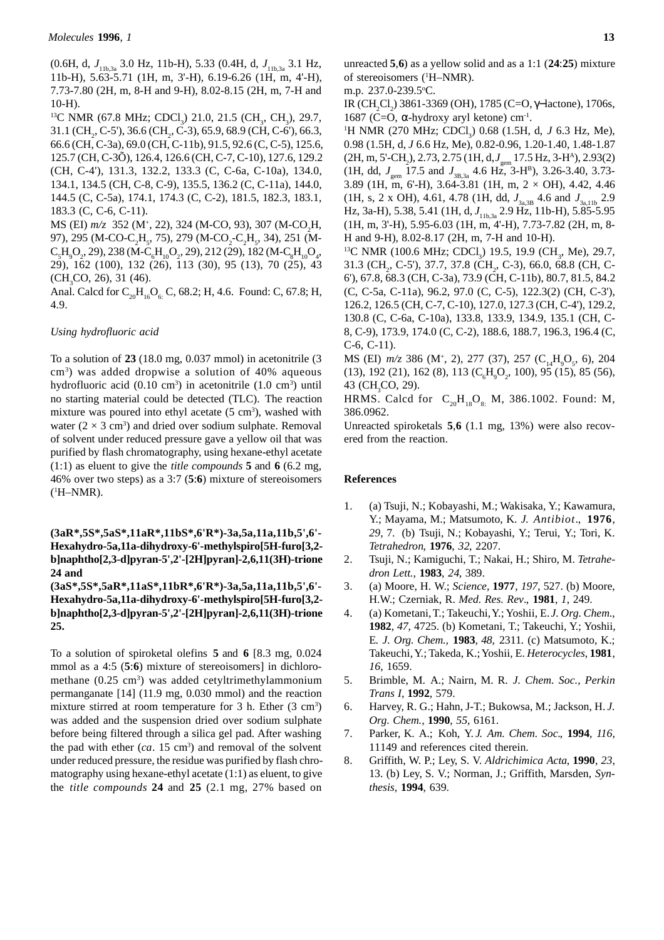(0.6H, d,  $J_{11b,3a}$  3.0 Hz, 11b-H), 5.33 (0.4H, d,  $J_{11b,3a}$  3.1 Hz, 11b-H), 5.63-5.71 (1H, m, 3'-H), 6.19-6.26 (1H, m, 4'-H), 7.73-7.80 (2H, m, 8-H and 9-H), 8.02-8.15 (2H, m, 7-H and 10-H).

<sup>13</sup>C NMR (67.8 MHz; CDCl<sub>3</sub>) 21.0, 21.5 (CH<sub>3</sub>, CH<sub>3</sub>), 29.7,  $31.1$  (CH<sub>2</sub>, C-5'),  $36.6$  (CH<sub>2</sub>, C-3),  $65.9$ ,  $68.9$  (CH, C-6'),  $66.3$ , 66.6 (CH, C-3a), 69.0 (CH, C-11b), 91.5, 92.6 (C, C-5), 125.6, 125.7 (CH, C-3Õ), 126.4, 126.6 (CH, C-7, C-10), 127.6, 129.2 (CH, C-4'), 131.3, 132.2, 133.3 (C, C-6a, C-10a), 134.0, 134.1, 134.5 (CH, C-8, C-9), 135.5, 136.2 (C, C-11a), 144.0, 144.5 (C, C-5a), 174.1, 174.3 (C, C-2), 181.5, 182.3, 183.1, 183.3 (C, C-6, C-11).

MS (EI)  $m/z$  352 (M<sup>+</sup>, 22), 324 (M-CO, 93), 307 (M-CO<sub>2</sub>H, 97), 295 (M-CO-C<sub>2</sub>H<sub>5</sub>, 75), 279 (M-CO<sub>2</sub>-C<sub>2</sub>H<sub>5</sub>, 34), 251 (M- $C_{5}H_{9}O_{2}$ , 29), 238 (M- $C_{6}H_{10}O_{2}$ , 29), 212 (29), 182 (M- $C_{8}H_{10}O_{4}$ , 29), 162 (100), 132 (26), 113 (30), 95 (13), 70 (25), 43  $(CH<sub>3</sub>CO, 26), 31 (46).$ 

Anal. Calcd for  $C_{20}H_{16}O_6C$ , 68.2; H, 4.6. Found: C, 67.8; H, 4.9.

#### *Using hydrofluoric acid*

To a solution of **23** (18.0 mg, 0.037 mmol) in acetonitrile (3 cm3 ) was added dropwise a solution of 40% aqueous hydrofluoric acid  $(0.10 \text{ cm}^3)$  in acetonitrile  $(1.0 \text{ cm}^3)$  until no starting material could be detected (TLC). The reaction mixture was poured into ethyl acetate  $(5 \text{ cm}^3)$ , washed with water  $(2 \times 3 \text{ cm}^3)$  and dried over sodium sulphate. Removal of solvent under reduced pressure gave a yellow oil that was purified by flash chromatography, using hexane-ethyl acetate (1:1) as eluent to give the *title compounds* **5** and **6** (6.2 mg, 46% over two steps) as a 3:7 (**5**:**6**) mixture of stereoisomers  $(^1H-NMR)$ .

# **(3aR\*,5S\*,5aS\*,11aR\*,11bS\*,6'R\*)-3a,5a,11a,11b,5',6'- Hexahydro-5a,11a-dihydroxy-6'-methylspiro[5H-furo[3,2 b]naphtho[2,3-d]pyran-5',2'-[2H]pyran]-2,6,11(3H)-trione 24 and**

**(3aS\*,5S\*,5aR\*,11aS\*,11bR\*,6'R\*)-3a,5a,11a,11b,5',6'- Hexahydro-5a,11a-dihydroxy-6'-methylspiro[5H-furo[3,2 b]naphtho[2,3-d]pyran-5',2'-[2H]pyran]-2,6,11(3H)-trione 25.**

To a solution of spiroketal olefins **5** and **6** [8.3 mg, 0.024 mmol as a 4:5 (**5**:**6**) mixture of stereoisomers] in dichloromethane  $(0.25 \text{ cm}^3)$  was added cetyltrimethylammonium permanganate [14] (11.9 mg, 0.030 mmol) and the reaction mixture stirred at room temperature for  $3$  h. Ether  $(3 \text{ cm}^3)$ was added and the suspension dried over sodium sulphate before being filtered through a silica gel pad. After washing the pad with ether  $(ca. 15 cm<sup>3</sup>)$  and removal of the solvent under reduced pressure, the residue was purified by flash chromatography using hexane-ethyl acetate (1:1) as eluent, to give the *title compounds* **24** and **25** (2.1 mg, 27% based on

unreacted **5**,**6**) as a yellow solid and as a 1:1 (**24**:**25**) mixture of stereoisomers (1 H–NMR).

m.p. 237.0-239.5o C.

IR (CH<sub>2</sub>Cl<sub>2</sub>) 3861-3369 (OH), 1785 (C=O, γ–lactone), 1706s, 1687 (C=O, α-hydroxy aryl ketone) cm<sup>-1</sup>.

<sup>1</sup>H NMR (270 MHz; CDCl<sub>3</sub>) 0.68 (1.5H, d, *J* 6.3 Hz, Me), 0.98 (1.5H, d, *J* 6.6 Hz, Me), 0.82-0.96, 1.20-1.40, 1.48-1.87 (2H, m, 5'-CH<sub>2</sub>), 2.73, 2.75 (1H, d, *J*<sub>gem</sub> 17.5 Hz, 3-H<sup>A</sup>), 2.93(2) (1H, dd,  $J_{\text{gem}}$  17.5 and  $J_{\text{3B,3a}}$  4.6 Hz, 3-H<sup>B</sup>), 3.26-3.40, 3.73-3.89 (1H, m, 6'-H), 3.64-3.81 (1H, m, 2 × OH), 4.42, 4.46 (1H, s, 2 x OH), 4.61, 4.78 (1H, dd,  $J_{3a,3B}$  4.6 and  $J_{3a,11b}$  2.9 Hz, 3a-H), 5.38, 5.41 (1H, d, *J*<sub>11b,3a</sub> 2.9 Hz, 11b-H), 5.85-5.95 (1H, m, 3'-H), 5.95-6.03 (1H, m, 4'-H), 7.73-7.82 (2H, m, 8- H and 9-H), 8.02-8.17 (2H, m, 7-H and 10-H).

<sup>13</sup>C NMR (100.6 MHz; CDCl<sub>3</sub>) 19.5, 19.9 (CH<sub>3</sub>, Me), 29.7, 31.3 (CH<sub>2</sub>, C-5'), 37.7, 37.8 (CH<sub>2</sub>, C-3), 66.0, 68.8 (CH, C-6'), 67.8, 68.3 (CH, C-3a), 73.9 (CH, C-11b), 80.7, 81.5, 84.2 (C, C-5a, C-11a), 96.2, 97.0 (C, C-5), 122.3(2) (CH, C-3'), 126.2, 126.5 (CH, C-7, C-10), 127.0, 127.3 (CH, C-4'), 129.2, 130.8 (C, C-6a, C-10a), 133.8, 133.9, 134.9, 135.1 (CH, C-8, C-9), 173.9, 174.0 (C, C-2), 188.6, 188.7, 196.3, 196.4 (C, C-6, C-11).

MS (EI)  $m/z$  386 (M<sup>+</sup>, 2), 277 (37), 257 (C<sub>14</sub>H<sub>9</sub>O<sub>5</sub>, 6), 204  $(13)$ , 192 (21), 162 (8), 113 ( $C_6H_9O_2$ , 100), 95 (15), 85 (56), 43 (CH<sub>3</sub>CO, 29).

HRMS. Calcd for  $C_{20}H_{18}O_8$ . M, 386.1002. Found: M, 386.0962.

Unreacted spiroketals **5**,**6** (1.1 mg, 13%) were also recovered from the reaction.

#### **References**

- 1. (a) Tsuji, N.; Kobayashi, M.; Wakisaka, Y.; Kawamura, Y.; Mayama, M.; Matsumoto, K. *J. Antibiot*., **1976**, *29*, 7. (b) Tsuji, N.; Kobayashi, Y.; Terui, Y.; Tori, K. *Tetrahedron*, **1976**, *32*, 2207.
- 2. Tsuji, N.; Kamiguchi, T.; Nakai, H.; Shiro, M. *Tetrahedron Lett.,* **1983**, *24*, 389.
- 3. (a) Moore, H. W.; *Science*, **1977**, *197*, 527. (b) Moore, H.W.; Czerniak, R. *Med. Res. Rev*., **1981**, *1*, 249.
- 4. (a) Kometani, T.; Takeuchi, Y.; Yoshii, E. *J. Org. Chem*., **1982**, *47,* 4725. (b) Kometani, T.; Takeuchi, Y.; Yoshii, E. *J. Org. Chem.,* **1983***, 48,* 2311*.* (c) Matsumoto, K.; Takeuchi, Y.; Takeda, K.; Yoshii, E. *Heterocycles*, **1981**, *16*, 1659.
- 5. Brimble, M. A.; Nairn, M. R. *J. Chem. Soc., Perkin Trans I*, **1992**, 579.
- 6. Harvey, R. G.; Hahn, J-T.; Bukowsa, M.; Jackson, H. *J. Org. Chem.,* **1990**, *55*, 6161.
- 7. Parker, K. A.; Koh, Y. *J. Am. Chem. Soc*., **1994**, *116*, 11149 and references cited therein.
- 8. Griffith, W. P.; Ley, S. V. *Aldrichimica Acta*, **1990**, *23*, 13. (b) Ley, S. V.; Norman, J.; Griffith, Marsden, *Synthesis*, **1994**, 639.